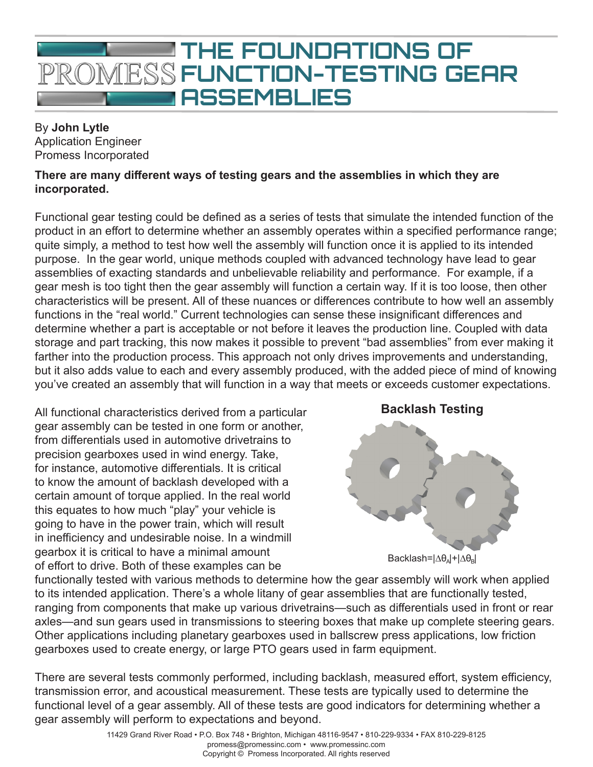

## By **John Lytle** Application Engineer Promess Incorporated

## **There are many different ways of testing gears and the assemblies in which they are incorporated.**

Functional gear testing could be defined as a series of tests that simulate the intended function of the product in an effort to determine whether an assembly operates within a specified performance range; quite simply, a method to test how well the assembly will function once it is applied to its intended purpose. In the gear world, unique methods coupled with advanced technology have lead to gear assemblies of exacting standards and unbelievable reliability and performance. For example, if a gear mesh is too tight then the gear assembly will function a certain way. If it is too loose, then other characteristics will be present. All of these nuances or differences contribute to how well an assembly functions in the "real world." Current technologies can sense these insignificant differences and determine whether a part is acceptable or not before it leaves the production line. Coupled with data storage and part tracking, this now makes it possible to prevent "bad assemblies" from ever making it farther into the production process. This approach not only drives improvements and understanding, but it also adds value to each and every assembly produced, with the added piece of mind of knowing you've created an assembly that will function in a way that meets or exceeds customer expectations.

All functional characteristics derived from a particular gear assembly can be tested in one form or another, from differentials used in automotive drivetrains to precision gearboxes used in wind energy. Take, for instance, automotive differentials. It is critical to know the amount of backlash developed with a certain amount of torque applied. In the real world this equates to how much "play" your vehicle is going to have in the power train, which will result in inefficiency and undesirable noise. In a windmill gearbox it is critical to have a minimal amount of effort to drive. Both of these examples can be



functionally tested with various methods to determine how the gear assembly will work when applied to its intended application. There's a whole litany of gear assemblies that are functionally tested, ranging from components that make up various drivetrains—such as differentials used in front or rear axles—and sun gears used in transmissions to steering boxes that make up complete steering gears. Other applications including planetary gearboxes used in ballscrew press applications, low friction gearboxes used to create energy, or large PTO gears used in farm equipment.

There are several tests commonly performed, including backlash, measured effort, system efficiency, transmission error, and acoustical measurement. These tests are typically used to determine the functional level of a gear assembly. All of these tests are good indicators for determining whether a gear assembly will perform to expectations and beyond.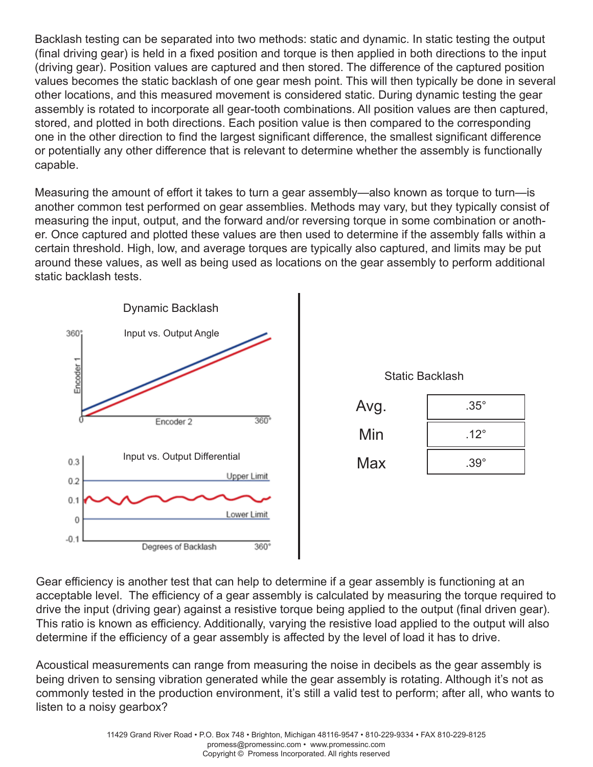Backlash testing can be separated into two methods: static and dynamic. In static testing the output (final driving gear) is held in a fixed position and torque is then applied in both directions to the input (driving gear). Position values are captured and then stored. The difference of the captured position values becomes the static backlash of one gear mesh point. This will then typically be done in several other locations, and this measured movement is considered static. During dynamic testing the gear assembly is rotated to incorporate all gear-tooth combinations. All position values are then captured, stored, and plotted in both directions. Each position value is then compared to the corresponding one in the other direction to find the largest significant difference, the smallest significant difference or potentially any other difference that is relevant to determine whether the assembly is functionally capable.

Measuring the amount of effort it takes to turn a gear assembly—also known as torque to turn—is another common test performed on gear assemblies. Methods may vary, but they typically consist of measuring the input, output, and the forward and/or reversing torque in some combination or another. Once captured and plotted these values are then used to determine if the assembly falls within a certain threshold. High, low, and average torques are typically also captured, and limits may be put around these values, as well as being used as locations on the gear assembly to perform additional static backlash tests.





Gear efficiency is another test that can help to determine if a gear assembly is functioning at an acceptable level. The efficiency of a gear assembly is calculated by measuring the torque required to drive the input (driving gear) against a resistive torque being applied to the output (final driven gear). This ratio is known as efficiency. Additionally, varying the resistive load applied to the output will also determine if the efficiency of a gear assembly is affected by the level of load it has to drive.

Acoustical measurements can range from measuring the noise in decibels as the gear assembly is being driven to sensing vibration generated while the gear assembly is rotating. Although it's not as commonly tested in the production environment, it's still a valid test to perform; after all, who wants to listen to a noisy gearbox?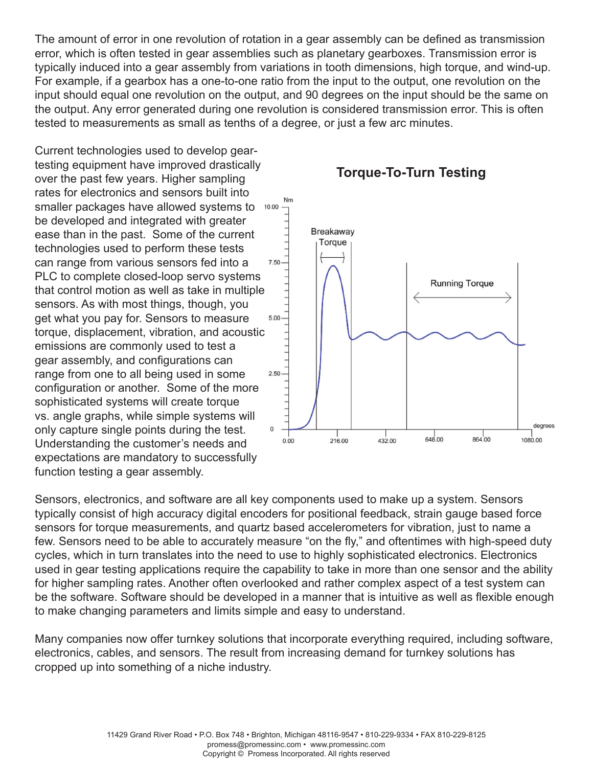The amount of error in one revolution of rotation in a gear assembly can be defined as transmission error, which is often tested in gear assemblies such as planetary gearboxes. Transmission error is typically induced into a gear assembly from variations in tooth dimensions, high torque, and wind-up. For example, if a gearbox has a one-to-one ratio from the input to the output, one revolution on the input should equal one revolution on the output, and 90 degrees on the input should be the same on the output. Any error generated during one revolution is considered transmission error. This is often tested to measurements as small as tenths of a degree, or just a few arc minutes.

Nm

Current technologies used to develop geartesting equipment have improved drastically over the past few years. Higher sampling rates for electronics and sensors built into smaller packages have allowed systems to 10.00 be developed and integrated with greater ease than in the past. Some of the current technologies used to perform these tests can range from various sensors fed into a PLC to complete closed-loop servo systems that control motion as well as take in multiple sensors. As with most things, though, you get what you pay for. Sensors to measure torque, displacement, vibration, and acoustic emissions are commonly used to test a gear assembly, and configurations can range from one to all being used in some 2.50 configuration or another. Some of the more sophisticated systems will create torque vs. angle graphs, while simple systems will only capture single points during the test.  $\,0\,$ Understanding the customer's needs and expectations are mandatory to successfully function testing a gear assembly.



**Torque-To-Turn Testing**

Sensors, electronics, and software are all key components used to make up a system. Sensors typically consist of high accuracy digital encoders for positional feedback, strain gauge based force sensors for torque measurements, and quartz based accelerometers for vibration, just to name a few. Sensors need to be able to accurately measure "on the fly," and oftentimes with high-speed duty cycles, which in turn translates into the need to use to highly sophisticated electronics. Electronics used in gear testing applications require the capability to take in more than one sensor and the ability for higher sampling rates. Another often overlooked and rather complex aspect of a test system can be the software. Software should be developed in a manner that is intuitive as well as flexible enough to make changing parameters and limits simple and easy to understand.

Many companies now offer turnkey solutions that incorporate everything required, including software, electronics, cables, and sensors. The result from increasing demand for turnkey solutions has cropped up into something of a niche industry.